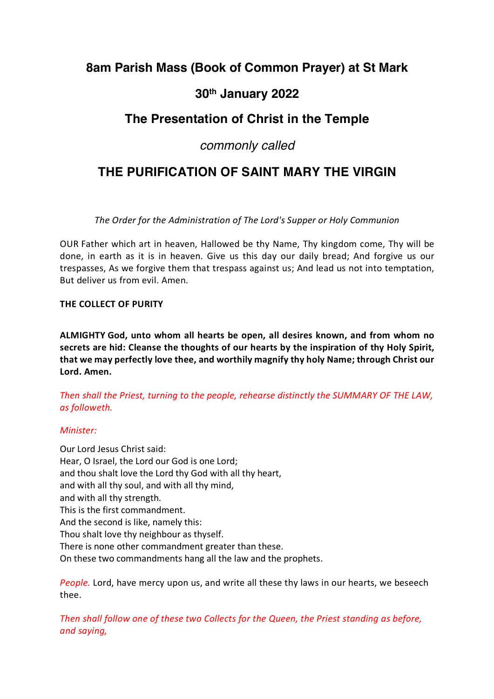## **8am Parish Mass (Book of Common Prayer) at St Mark**

## **30th January 2022**

## **The Presentation of Christ in the Temple**

## *commonly called*

# **THE PURIFICATION OF SAINT MARY THE VIRGIN**

*The Order for the Administration of The Lord's Supper or Holy Communion*

OUR Father which art in heaven, Hallowed be thy Name, Thy kingdom come, Thy will be done, in earth as it is in heaven. Give us this day our daily bread; And forgive us our trespasses, As we forgive them that trespass against us; And lead us not into temptation, But deliver us from evil. Amen.

### **THE COLLECT OF PURITY**

**ALMIGHTY God, unto whom all hearts be open, all desires known, and from whom no secrets are hid: Cleanse the thoughts of our hearts by the inspiration of thy Holy Spirit, that we may perfectly love thee, and worthily magnify thy holy Name; through Christ our Lord. Amen.**

*Then shall the Priest, turning to the people, rehearse distinctly the SUMMARY OF THE LAW, as followeth.*

### *Minister:*

Our Lord Jesus Christ said: Hear, O Israel, the Lord our God is one Lord; and thou shalt love the Lord thy God with all thy heart, and with all thy soul, and with all thy mind, and with all thy strength. This is the first commandment. And the second is like, namely this: Thou shalt love thy neighbour as thyself. There is none other commandment greater than these. On these two commandments hang all the law and the prophets.

*People.* Lord, have mercy upon us, and write all these thy laws in our hearts, we beseech thee.

*Then shall follow one of these two Collects for the Queen, the Priest standing as before, and saying,*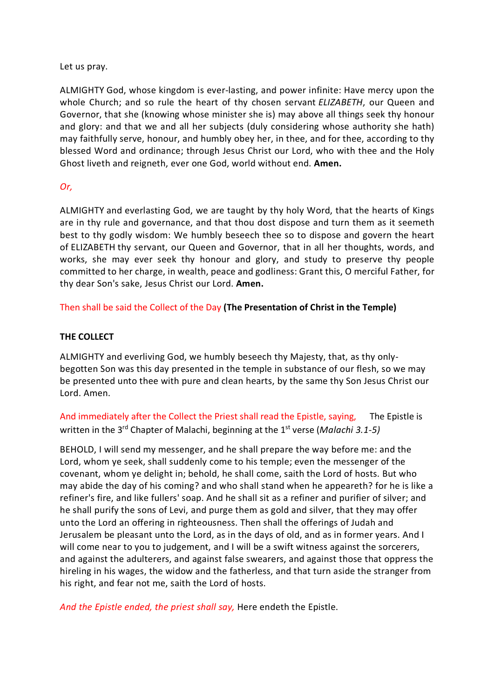Let us pray.

ALMIGHTY God, whose kingdom is ever-lasting, and power infinite: Have mercy upon the whole Church; and so rule the heart of thy chosen servant *ELIZABETH*, our Queen and Governor, that she (knowing whose minister she is) may above all things seek thy honour and glory: and that we and all her subjects (duly considering whose authority she hath) may faithfully serve, honour, and humbly obey her, in thee, and for thee, according to thy blessed Word and ordinance; through Jesus Christ our Lord, who with thee and the Holy Ghost liveth and reigneth, ever one God, world without end. **Amen.**

#### *Or,*

ALMIGHTY and everlasting God, we are taught by thy holy Word, that the hearts of Kings are in thy rule and governance, and that thou dost dispose and turn them as it seemeth best to thy godly wisdom: We humbly beseech thee so to dispose and govern the heart of ELIZABETH thy servant, our Queen and Governor, that in all her thoughts, words, and works, she may ever seek thy honour and glory, and study to preserve thy people committed to her charge, in wealth, peace and godliness: Grant this, O merciful Father, for thy dear Son's sake, Jesus Christ our Lord. **Amen.**

Then shall be said the Collect of the Day **(The Presentation of Christ in the Temple)**

#### **THE COLLECT**

ALMIGHTY and everliving God, we humbly beseech thy Majesty, that, as thy onlybegotten Son was this day presented in the temple in substance of our flesh, so we may be presented unto thee with pure and clean hearts, by the same thy Son Jesus Christ our Lord. Amen.

And immediately after the Collect the Priest shall read the Epistle, saying, The Epistle is written in the 3<sup>rd</sup> Chapter of Malachi, beginning at the 1<sup>st</sup> verse (*Malachi 3.1-5*)

BEHOLD, I will send my messenger, and he shall prepare the way before me: and the Lord, whom ye seek, shall suddenly come to his temple; even the messenger of the covenant, whom ye delight in; behold, he shall come, saith the Lord of hosts. But who may abide the day of his coming? and who shall stand when he appeareth? for he is like a refiner's fire, and like fullers' soap. And he shall sit as a refiner and purifier of silver; and he shall purify the sons of Levi, and purge them as gold and silver, that they may offer unto the Lord an offering in righteousness. Then shall the offerings of Judah and Jerusalem be pleasant unto the Lord, as in the days of old, and as in former years. And I will come near to you to judgement, and I will be a swift witness against the sorcerers, and against the adulterers, and against false swearers, and against those that oppress the hireling in his wages, the widow and the fatherless, and that turn aside the stranger from his right, and fear not me, saith the Lord of hosts.

*And the Epistle ended, the priest shall say,* Here endeth the Epistle.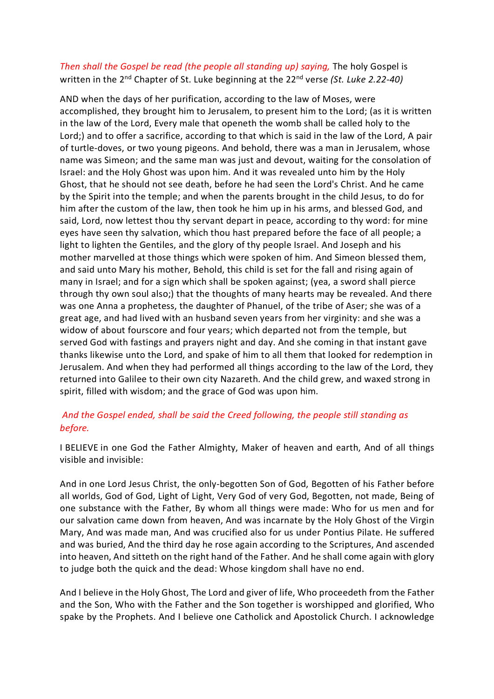## *Then shall the Gospel be read (the people all standing up) saying,* The holy Gospel is written in the 2nd Chapter of St. Luke beginning at the 22nd verse *(St. Luke 2.22-40)*

AND when the days of her purification, according to the law of Moses, were accomplished, they brought him to Jerusalem, to present him to the Lord; (as it is written in the law of the Lord, Every male that openeth the womb shall be called holy to the Lord;) and to offer a sacrifice, according to that which is said in the law of the Lord, A pair of turtle-doves, or two young pigeons. And behold, there was a man in Jerusalem, whose name was Simeon; and the same man was just and devout, waiting for the consolation of Israel: and the Holy Ghost was upon him. And it was revealed unto him by the Holy Ghost, that he should not see death, before he had seen the Lord's Christ. And he came by the Spirit into the temple; and when the parents brought in the child Jesus, to do for him after the custom of the law, then took he him up in his arms, and blessed God, and said, Lord, now lettest thou thy servant depart in peace, according to thy word: for mine eyes have seen thy salvation, which thou hast prepared before the face of all people; a light to lighten the Gentiles, and the glory of thy people Israel. And Joseph and his mother marvelled at those things which were spoken of him. And Simeon blessed them, and said unto Mary his mother, Behold, this child is set for the fall and rising again of many in Israel; and for a sign which shall be spoken against; (yea, a sword shall pierce through thy own soul also;) that the thoughts of many hearts may be revealed. And there was one Anna a prophetess, the daughter of Phanuel, of the tribe of Aser; she was of a great age, and had lived with an husband seven years from her virginity: and she was a widow of about fourscore and four years; which departed not from the temple, but served God with fastings and prayers night and day. And she coming in that instant gave thanks likewise unto the Lord, and spake of him to all them that looked for redemption in Jerusalem. And when they had performed all things according to the law of the Lord, they returned into Galilee to their own city Nazareth. And the child grew, and waxed strong in spirit, filled with wisdom; and the grace of God was upon him.

## *And the Gospel ended, shall be said the Creed following, the people still standing as before.*

I BELIEVE in one God the Father Almighty, Maker of heaven and earth, And of all things visible and invisible:

And in one Lord Jesus Christ, the only-begotten Son of God, Begotten of his Father before all worlds, God of God, Light of Light, Very God of very God, Begotten, not made, Being of one substance with the Father, By whom all things were made: Who for us men and for our salvation came down from heaven, And was incarnate by the Holy Ghost of the Virgin Mary, And was made man, And was crucified also for us under Pontius Pilate. He suffered and was buried, And the third day he rose again according to the Scriptures, And ascended into heaven, And sitteth on the right hand of the Father. And he shall come again with glory to judge both the quick and the dead: Whose kingdom shall have no end.

And I believe in the Holy Ghost, The Lord and giver of life, Who proceedeth from the Father and the Son, Who with the Father and the Son together is worshipped and glorified, Who spake by the Prophets. And I believe one Catholick and Apostolick Church. I acknowledge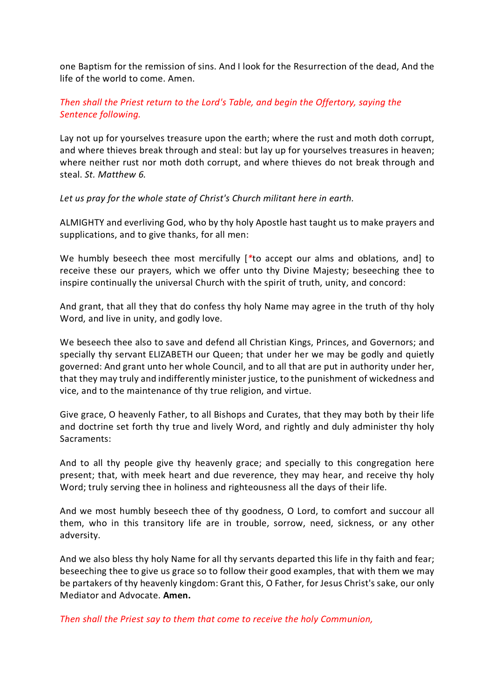one Baptism for the remission of sins. And I look for the Resurrection of the dead, And the life of the world to come. Amen.

### *Then shall the Priest return to the Lord's Table, and begin the Offertory, saying the Sentence following.*

Lay not up for yourselves treasure upon the earth; where the rust and moth doth corrupt, and where thieves break through and steal: but lay up for yourselves treasures in heaven; where neither rust nor moth doth corrupt, and where thieves do not break through and steal. *St. Matthew 6.*

*Let us pray for the whole state of Christ's Church militant here in earth.*

ALMIGHTY and everliving God, who by thy holy Apostle hast taught us to make prayers and supplications, and to give thanks, for all men:

We humbly beseech thee most mercifully [*\**to accept our alms and oblations, and] to receive these our prayers, which we offer unto thy Divine Majesty; beseeching thee to inspire continually the universal Church with the spirit of truth, unity, and concord:

And grant, that all they that do confess thy holy Name may agree in the truth of thy holy Word, and live in unity, and godly love.

We beseech thee also to save and defend all Christian Kings, Princes, and Governors; and specially thy servant ELIZABETH our Queen; that under her we may be godly and quietly governed: And grant unto her whole Council, and to all that are put in authority under her, that they may truly and indifferently minister justice, to the punishment of wickedness and vice, and to the maintenance of thy true religion, and virtue.

Give grace, O heavenly Father, to all Bishops and Curates, that they may both by their life and doctrine set forth thy true and lively Word, and rightly and duly administer thy holy Sacraments:

And to all thy people give thy heavenly grace; and specially to this congregation here present; that, with meek heart and due reverence, they may hear, and receive thy holy Word; truly serving thee in holiness and righteousness all the days of their life.

And we most humbly beseech thee of thy goodness, O Lord, to comfort and succour all them, who in this transitory life are in trouble, sorrow, need, sickness, or any other adversity.

And we also bless thy holy Name for all thy servants departed this life in thy faith and fear; beseeching thee to give us grace so to follow their good examples, that with them we may be partakers of thy heavenly kingdom: Grant this, O Father, for Jesus Christ's sake, our only Mediator and Advocate. **Amen.**

*Then shall the Priest say to them that come to receive the holy Communion,*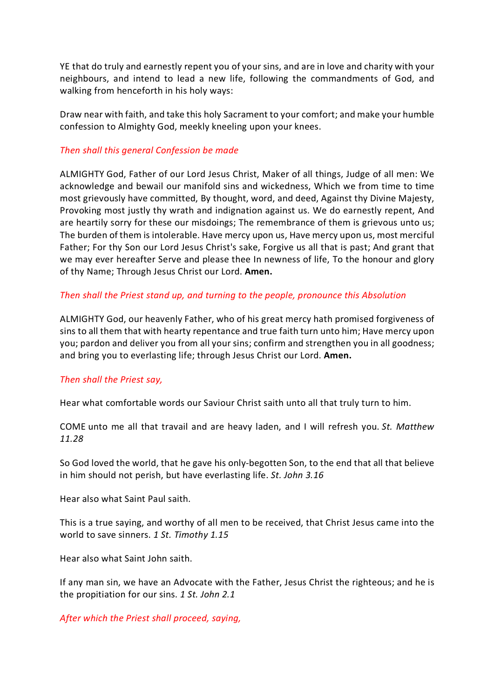YE that do truly and earnestly repent you of your sins, and are in love and charity with your neighbours, and intend to lead a new life, following the commandments of God, and walking from henceforth in his holy ways:

Draw near with faith, and take this holy Sacrament to your comfort; and make your humble confession to Almighty God, meekly kneeling upon your knees.

#### *Then shall this general Confession be made*

ALMIGHTY God, Father of our Lord Jesus Christ, Maker of all things, Judge of all men: We acknowledge and bewail our manifold sins and wickedness, Which we from time to time most grievously have committed, By thought, word, and deed, Against thy Divine Majesty, Provoking most justly thy wrath and indignation against us. We do earnestly repent, And are heartily sorry for these our misdoings; The remembrance of them is grievous unto us; The burden of them is intolerable. Have mercy upon us, Have mercy upon us, most merciful Father; For thy Son our Lord Jesus Christ's sake, Forgive us all that is past; And grant that we may ever hereafter Serve and please thee In newness of life, To the honour and glory of thy Name; Through Jesus Christ our Lord. **Amen.**

#### *Then shall the Priest stand up, and turning to the people, pronounce this Absolution*

ALMIGHTY God, our heavenly Father, who of his great mercy hath promised forgiveness of sins to all them that with hearty repentance and true faith turn unto him; Have mercy upon you; pardon and deliver you from all your sins; confirm and strengthen you in all goodness; and bring you to everlasting life; through Jesus Christ our Lord. **Amen.**

#### *Then shall the Priest say,*

Hear what comfortable words our Saviour Christ saith unto all that truly turn to him.

COME unto me all that travail and are heavy laden, and I will refresh you. *St. Matthew 11.28*

So God loved the world, that he gave his only-begotten Son, to the end that all that believe in him should not perish, but have everlasting life. *St. John 3.16*

Hear also what Saint Paul saith.

This is a true saying, and worthy of all men to be received, that Christ Jesus came into the world to save sinners. *1 St. Timothy 1.15*

Hear also what Saint John saith.

If any man sin, we have an Advocate with the Father, Jesus Christ the righteous; and he is the propitiation for our sins. *1 St. John 2.1*

*After which the Priest shall proceed, saying,*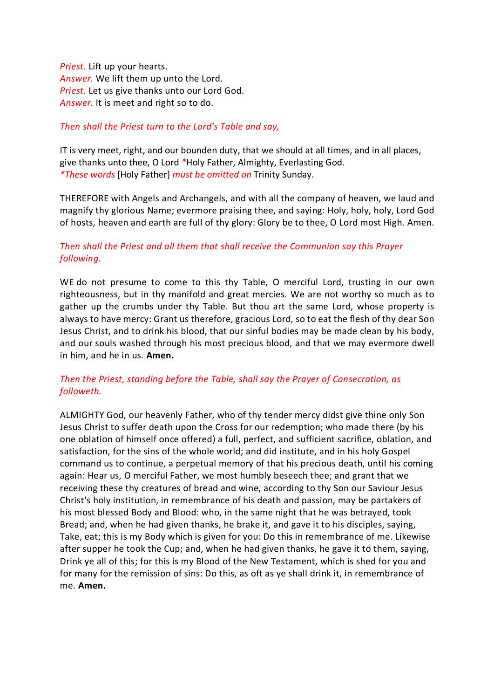*Priest.* Lift up your hearts. *Answer.* We lift them up unto the Lord. *Priest.* Let us give thanks unto our Lord God. *Answer.* It is meet and right so to do.

#### *Then shall the Priest turn to the Lord's Table and say,*

IT is very meet, right, and our bounden duty, that we should at all times, and in all places, give thanks unto thee, O Lord *\**Holy Father, Almighty, Everlasting God. *\*These words* [Holy Father] *must be omitted on* Trinity Sunday.

THEREFORE with Angels and Archangels, and with all the company of heaven, we laud and magnify thy glorious Name; evermore praising thee, and saying: Holy, holy, holy, Lord God of hosts, heaven and earth are full of thy glory: Glory be to thee, O Lord most High. Amen.

## *Then shall the Priest and all them that shall receive the Communion say this Prayer following.*

WE do not presume to come to this thy Table, O merciful Lord, trusting in our own righteousness, but in thy manifold and great mercies. We are not worthy so much as to gather up the crumbs under thy Table. But thou art the same Lord, whose property is always to have mercy: Grant us therefore, gracious Lord, so to eat the flesh of thy dear Son Jesus Christ, and to drink his blood, that our sinful bodies may be made clean by his body, and our souls washed through his most precious blood, and that we may evermore dwell in him, and he in us. **Amen.**

## *Then the Priest, standing before the Table, shall say the Prayer of Consecration, as followeth.*

ALMIGHTY God, our heavenly Father, who of thy tender mercy didst give thine only Son Jesus Christ to suffer death upon the Cross for our redemption; who made there (by his one oblation of himself once offered) a full, perfect, and sufficient sacrifice, oblation, and satisfaction, for the sins of the whole world; and did institute, and in his holy Gospel command us to continue, a perpetual memory of that his precious death, until his coming again: Hear us, O merciful Father, we most humbly beseech thee; and grant that we receiving these thy creatures of bread and wine, according to thy Son our Saviour Jesus Christ's holy institution, in remembrance of his death and passion, may be partakers of his most blessed Body and Blood: who, in the same night that he was betrayed, took Bread; and, when he had given thanks, he brake it, and gave it to his disciples, saying, Take, eat; this is my Body which is given for you: Do this in remembrance of me. Likewise after supper he took the Cup; and, when he had given thanks, he gave it to them, saying, Drink ye all of this; for this is my Blood of the New Testament, which is shed for you and for many for the remission of sins: Do this, as oft as ye shall drink it, in remembrance of me. **Amen.**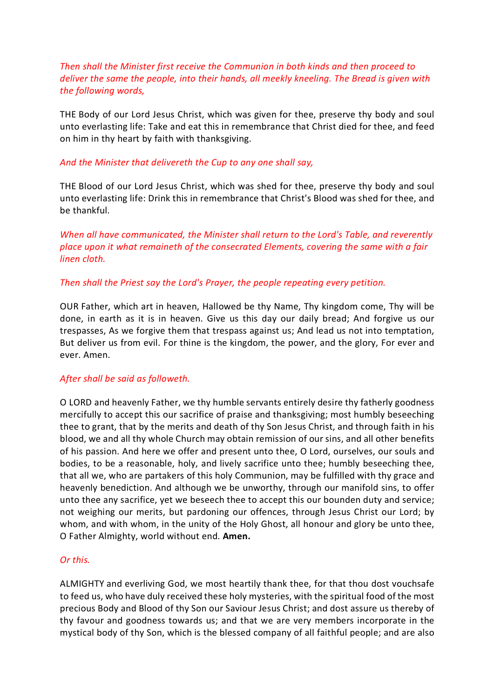## *Then shall the Minister first receive the Communion in both kinds and then proceed to deliver the same the people, into their hands, all meekly kneeling. The Bread is given with the following words,*

THE Body of our Lord Jesus Christ, which was given for thee, preserve thy body and soul unto everlasting life: Take and eat this in remembrance that Christ died for thee, and feed on him in thy heart by faith with thanksgiving.

#### *And the Minister that delivereth the Cup to any one shall say,*

THE Blood of our Lord Jesus Christ, which was shed for thee, preserve thy body and soul unto everlasting life: Drink this in remembrance that Christ's Blood was shed for thee, and be thankful.

*When all have communicated, the Minister shall return to the Lord's Table, and reverently place upon it what remaineth of the consecrated Elements, covering the same with a fair linen cloth.*

#### *Then shall the Priest say the Lord's Prayer, the people repeating every petition.*

OUR Father, which art in heaven, Hallowed be thy Name, Thy kingdom come, Thy will be done, in earth as it is in heaven. Give us this day our daily bread; And forgive us our trespasses, As we forgive them that trespass against us; And lead us not into temptation, But deliver us from evil. For thine is the kingdom, the power, and the glory, For ever and ever. Amen.

#### *After shall be said as followeth.*

O LORD and heavenly Father, we thy humble servants entirely desire thy fatherly goodness mercifully to accept this our sacrifice of praise and thanksgiving; most humbly beseeching thee to grant, that by the merits and death of thy Son Jesus Christ, and through faith in his blood, we and all thy whole Church may obtain remission of our sins, and all other benefits of his passion. And here we offer and present unto thee, O Lord, ourselves, our souls and bodies, to be a reasonable, holy, and lively sacrifice unto thee; humbly beseeching thee, that all we, who are partakers of this holy Communion, may be fulfilled with thy grace and heavenly benediction. And although we be unworthy, through our manifold sins, to offer unto thee any sacrifice, yet we beseech thee to accept this our bounden duty and service; not weighing our merits, but pardoning our offences, through Jesus Christ our Lord; by whom, and with whom, in the unity of the Holy Ghost, all honour and glory be unto thee, O Father Almighty, world without end. **Amen.**

#### *Or this.*

ALMIGHTY and everliving God, we most heartily thank thee, for that thou dost vouchsafe to feed us, who have duly received these holy mysteries, with the spiritual food of the most precious Body and Blood of thy Son our Saviour Jesus Christ; and dost assure us thereby of thy favour and goodness towards us; and that we are very members incorporate in the mystical body of thy Son, which is the blessed company of all faithful people; and are also